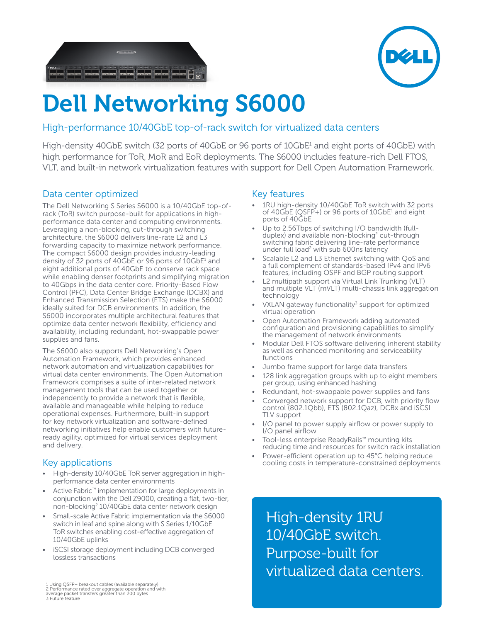



# **Dell Networking S6000**

# High-performance 10/40GbE top-of-rack switch for virtualized data centers

High-density 40GbE switch (32 ports of 40GbE or 96 ports of 10GbE<sup>1</sup> and eight ports of 40GbE) with high performance for ToR, MoR and EoR deployments. The S6000 includes feature-rich Dell FTOS, VLT, and built-in network virtualization features with support for Dell Open Automation Framework.

# Data center optimized

The Dell Networking S Series S6000 is a 10/40GbE top-ofrack (ToR) switch purpose-built for applications in highperformance data center and computing environments. Leveraging a non-blocking, cut-through switching architecture, the S6000 delivers line-rate L2 and L3 forwarding capacity to maximize network performance. The compact S6000 design provides industry-leading density of 32 ports of 40GbE or 96 ports of 10GbE<sup>1</sup> and eight additional ports of 40GbE to conserve rack space while enabling denser footprints and simplifying migration to 40Gbps in the data center core. Priority-Based Flow Control (PFC), Data Center Bridge Exchange (DCBX) and Enhanced Transmission Selection (ETS) make the S6000 ideally suited for DCB environments. In addition, the S6000 incorporates multiple architectural features that optimize data center network flexibility, efficiency and availability, including redundant, hot-swappable power supplies and fans.

The S6000 also supports Dell Networking's Open Automation Framework, which provides enhanced network automation and virtualization capabilities for virtual data center environments. The Open Automation Framework comprises a suite of inter-related network management tools that can be used together or independently to provide a network that is flexible, available and manageable while helping to reduce operational expenses. Furthermore, built-in support for key network virtualization and software-defined networking initiatives help enable customers with futureready agility, optimized for virtual services deployment and delivery.

# Key applications

- High-density 10/40GbE ToR server aggregation in highperformance data center environments
- Active Fabric™ implementation for large deployments in conjunction with the Dell Z9000, creating a flat, two-tier, non-blocking<sup>2</sup> 10/40GbE data center network design
- Small-scale Active Fabric implementation via the S6000 switch in leaf and spine along with S Series 1/10GbE ToR switches enabling cost-effective aggregation of 10/40GbE uplinks
- iSCSI storage deployment including DCB converged lossless transactions

1 Using QSFP+ breakout cables (available separately) 2 Performance rated over aggregate operation and with average packet transfers greater than 200 bytes 3 Future feature

## Key features

- 1RU high-density 10/40GbE ToR switch with 32 ports of 40GbE (QSFP+) or 96 ports of 10GbE<sup>1</sup> and eight ports of 40GbE
- Up to 2.56Tbps of switching I/O bandwidth (fullduplex) and available non-blocking<sup>2</sup> cut-through switching fabric delivering line-rate performance under full load<sup>2</sup> with sub 600ns latency
- Scalable L2 and L3 Ethernet switching with QoS and a full complement of standards-based IPv4 and IPv6 features, including OSPF and BGP routing support
- L2 multipath support via Virtual Link Trunking (VLT) and multiple VLT (mVLT) multi-chassis link aggregation technology
- VXLAN gateway functionality<sup>3</sup> support for optimized virtual operation
- Open Automation Framework adding automated configuration and provisioning capabilities to simplify the management of network environments
- Modular Dell FTOS software delivering inherent stability as well as enhanced monitoring and serviceability functions
- Jumbo frame support for large data transfers
- 128 link aggregation groups with up to eight members per group, using enhanced hashing
- Redundant, hot-swappable power supplies and fans
- Converged network support for DCB, with priority flow control (802.1Qbb), ETS (802.1Qaz), DCBx and iSCSI TLV support
- I/O panel to power supply airflow or power supply to I/O panel airflow
- Tool-less enterprise ReadyRails™ mounting kits reducing time and resources for switch rack installation
- Power-efficient operation up to 45°C helping reduce cooling costs in temperature-constrained deployments

High-density 1RU 10/40GbE switch. Purpose-built for virtualized data centers.